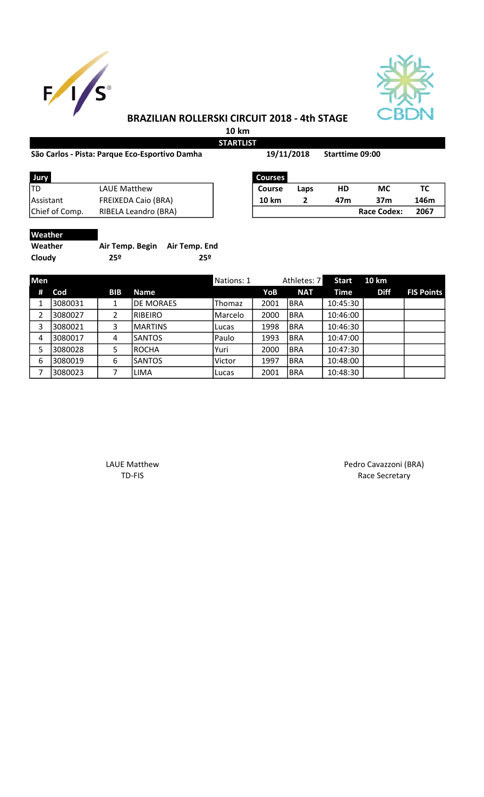



## BRAZILIAN ROLLERSKI CIRCUIT 2018 - 4th STAGE

10 km **STARTLIST** 

## São Carlos - Pista: Parque Eco-Esportivo Damha 19/11/2018 Starttime 09:00

19/11/2018

| Jury           |                            | <b>Courses</b> |      |     |                    |      |
|----------------|----------------------------|----------------|------|-----|--------------------|------|
| ltd            | LAUE Matthew               | <b>Course</b>  | Laps | HD  | <b>MC</b>          |      |
| l Assistant    | <b>FREIXEDA Caio (BRA)</b> | <b>10 km</b>   |      | 47m | 37m                | 146m |
| Chief of Comp. | RIBELA Leandro (BRA)       |                |      |     | <b>Race Codex:</b> | 2067 |
|                |                            |                |      |     |                    |      |

| Jury           | <b>Courses</b>             |              |      |     |                    |      |
|----------------|----------------------------|--------------|------|-----|--------------------|------|
| TD             | LAUE Matthew               | Course       | Laps | HD  | МC                 |      |
| Assistant      | <b>FREIXEDA Caio (BRA)</b> | <b>10 km</b> |      | 47m | 37m                | 146m |
| Chief of Comp. | RIBELA Leandro (BRA)       |              |      |     | <b>Race Codex:</b> | 2067 |

| W | ilî<br>-let- | na. |
|---|--------------|-----|
|   |              |     |

| --------- |                               |     |
|-----------|-------------------------------|-----|
| Weather   | Air Temp. Begin Air Temp. End |     |
| Cloudy    | 25º                           | 25º |

| <b>Men</b> |         |            |                  | Nations: 1 |      | Athletes: 7 | <b>Start</b> | <b>10 km</b> |                   |
|------------|---------|------------|------------------|------------|------|-------------|--------------|--------------|-------------------|
| #          | Cod     | <b>BIB</b> | <b>Name</b>      |            | YoB  | <b>NAT</b>  | Time         | <b>Diff</b>  | <b>FIS Points</b> |
| 1          | 3080031 |            | <b>DE MORAES</b> | Thomaz     | 2001 | IBRA        | 10:45:30     |              |                   |
| 2          | 3080027 | 2          | <b>RIBEIRO</b>   | Marcelo    | 2000 | <b>BRA</b>  | 10:46:00     |              |                   |
| 3          | 3080021 | 3          | <b>IMARTINS</b>  | Lucas      | 1998 | <b>BRA</b>  | 10:46:30     |              |                   |
| 4          | 3080017 | 4          | <b>SANTOS</b>    | Paulo      | 1993 | BRA         | 10:47:00     |              |                   |
| 5          | 3080028 | 5          | <b>ROCHA</b>     | Yuri       | 2000 | <b>BRA</b>  | 10:47:30     |              |                   |
| 6          | 3080019 | 6          | <b>SANTOS</b>    | Victor     | 1997 | <b>BRA</b>  | 10:48:00     |              |                   |
| 7          | 3080023 |            | LIMA             | Lucas      | 2001 | IBRA        | 10:48:30     |              |                   |

LAUE Matthew **Pedro Cavazzoni** (BRA) TD-FIS Race Secretary